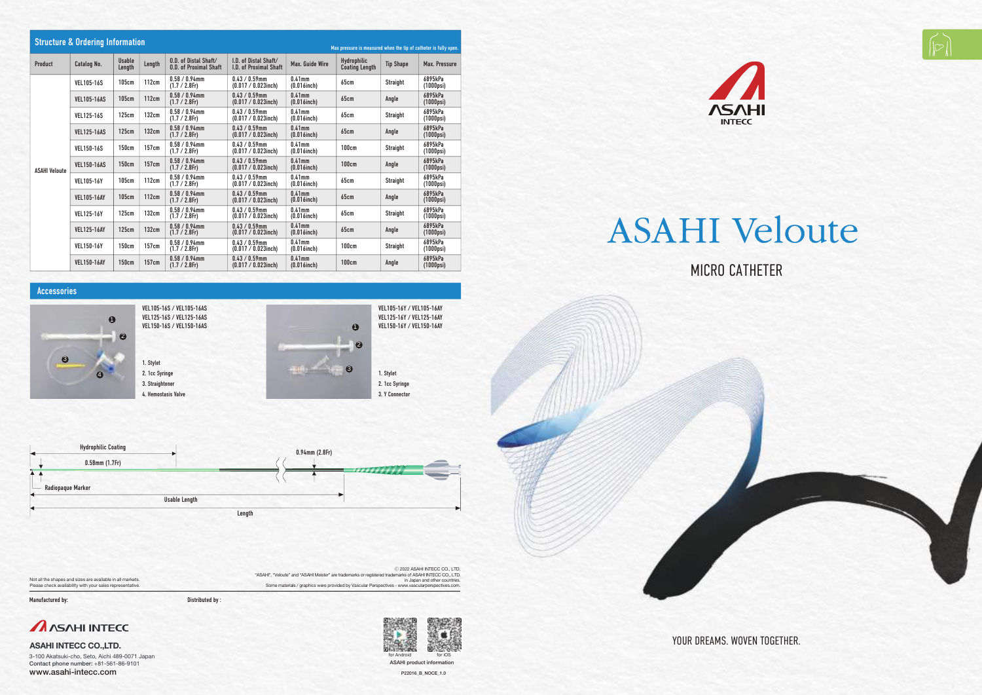MICRO CATHETER

YOUR DREAMS. WOVEN TOGETHER.







1. Stylet 2. 1cc Syringe 3. Straightener 4. Hemostasis Valve

1. Stylet 2. 1cc Syringe 3. Y Connector





3-100 Akatsuki-cho, Seto, Aichi 489-0071 Japan Contact phone number: +81-561-86-9101 www.asahi-intecc.com P22016\_B\_NOCE\_1.0

| <b>Structure &amp; Ordering Information</b><br>Max pressure is measured when the tip of catheter is fully open. |                    |                         |        |                                                        |                                                        |                                |                                             |                  |                               |
|-----------------------------------------------------------------------------------------------------------------|--------------------|-------------------------|--------|--------------------------------------------------------|--------------------------------------------------------|--------------------------------|---------------------------------------------|------------------|-------------------------------|
| Product                                                                                                         | Catalog No.        | <b>Usable</b><br>Length | Length | 0.D. of Distal Shaft/<br><b>0.D. of Proximal Shaft</b> | I.D. of Distal Shaft/<br><b>I.D. of Proximal Shaft</b> | <b>Max. Guide Wire</b>         | <b>Hydrophilic</b><br><b>Coating Length</b> | <b>Tip Shape</b> | Max. Pressure                 |
| <b>ASAHI Veloute</b>                                                                                            | <b>VEL105-16S</b>  | 105cm                   | 112cm  | $0.58 / 0.94$ mm<br>$(1.7 / 2.8$ Fr)                   | $0.43 / 0.59$ mm<br>$(0.017 / 0.023$ inch)             | $0.41$ mm<br>$(0.016$ inch $)$ | 65cm                                        | <b>Straight</b>  | 6895kPa<br>$(1000$ psi $)$    |
|                                                                                                                 | <b>VEL105-16AS</b> | 105cm                   | 112cm  | $0.58 / 0.94$ mm<br>$(1.7 / 2.8$ Fr)                   | $0.43 / 0.59$ mm<br>$(0.017 / 0.023$ inch)             | $0.41$ mm<br>$(0.016$ inch $)$ | 65cm                                        | Angle            | 6895kPa<br>$(1000$ psi $)$    |
|                                                                                                                 | <b>VEL125-16S</b>  | 125cm                   | 132cm  | $0.58 / 0.94$ mm<br>$(1.7 / 2.8$ Fr)                   | $0.43 / 0.59$ mm<br>$(0.017 / 0.023$ inch)             | $0.41$ mm<br>$(0.016$ inch $)$ | 65cm                                        | <b>Straight</b>  | 6895kPa<br>(1000psi)          |
|                                                                                                                 | <b>VEL125-16AS</b> | 125cm                   | 132cm  | $0.58 / 0.94$ mm<br>$(1.7 / 2.8$ Fr)                   | $0.43 / 0.59$ mm<br>$(0.017 / 0.023$ inch)             | $0.41$ mm<br>$(0.016$ inch $)$ | 65cm                                        | Angle            | 6895kPa<br>$(1000$ psi $)$    |
|                                                                                                                 | <b>VEL150-16S</b>  | 150cm                   | 157cm  | $0.58 / 0.94$ mm<br>$(1.7 / 2.8$ Fr)                   | $0.43 / 0.59$ mm<br>$(0.017 / 0.023$ inch)             | $0.41$ mm<br>$(0.016$ inch $)$ | 100cm                                       | <b>Straight</b>  | 6895kPa<br>$(1000$ psi $)$    |
|                                                                                                                 | <b>VEL150-16AS</b> | <b>150cm</b>            | 157cm  | $0.58 / 0.94$ mm<br>$(1.7 / 2.8$ Fr)                   | $0.43 / 0.59$ mm<br>$(0.017 / 0.023$ inch)             | $0.41$ mm<br>$(0.016$ inch $)$ | 100cm                                       | Angle            | 6895kPa<br>$(1000$ psi $)$    |
|                                                                                                                 | <b>VEL105-16Y</b>  | 105cm                   | 112cm  | $0.58 / 0.94$ mm<br>$(1.7 / 2.8$ Fr)                   | $0.43 / 0.59$ mm<br>$(0.017 / 0.023$ inch)             | $0.41$ mm<br>$(0.016$ inch $)$ | 65cm                                        | <b>Straight</b>  | 6895kPa<br>$(1000$ psi $)$    |
|                                                                                                                 | <b>VEL105-16AY</b> | 105cm                   | 112cm  | $0.58 / 0.94$ mm<br>$(1.7 / 2.8$ Fr)                   | $0.43 / 0.59$ mm<br>$(0.017 / 0.023$ inch)             | $0.41$ mm<br>$(0.016$ inch $)$ | 65cm                                        | Angle            | 6895kPa<br>$(1000$ psi $)$    |
|                                                                                                                 | <b>VEL125-16Y</b>  | 125cm                   | 132cm  | $0.58 / 0.94$ mm<br>$(1.7 / 2.8$ Fr)                   | $0.43 / 0.59$ mm<br>$(0.017 / 0.023$ inch)             | $0.41$ mm<br>$(0.016$ inch $)$ | 65cm                                        | <b>Straight</b>  | 6895kPa<br>(1000psi)          |
|                                                                                                                 | <b>VEL125-16AY</b> | 125cm                   | 132cm  | $0.58 / 0.94$ mm<br>(1.7 / 2.8Fr)                      | $0.43 / 0.59$ mm<br>$(0.017 / 0.023$ inch)             | $0.41$ mm<br>$(0.016$ inch $)$ | 65cm                                        | Angle            | 6895kPa<br>$(1000$ psi $)$    |
|                                                                                                                 | <b>VEL150-16Y</b>  | 150cm                   | 157cm  | $0.58 / 0.94$ mm<br>$(1.7 / 2.8$ Fr)                   | $0.43 / 0.59$ mm<br>$(0.017 / 0.023$ inch)             | $0.41$ mm<br>$(0.016$ inch $)$ | 100cm                                       | <b>Straight</b>  | 6895kPa<br>(1000psi)          |
|                                                                                                                 | <b>VEL150-16AY</b> | 150cm                   | 157cm  | $0.58 / 0.94$ mm<br>$(1.7 / 2.8$ Fr)                   | $0.43 / 0.59$ mm<br>$(0.017 / 0.023$ inch)             | $0.41$ mm<br>$(0.016$ inch $)$ | <b>100cm</b>                                | Angle            | 6895kPa<br>$(1000\text{psi})$ |



# **ASAHI Veloute**

VEL105-16S / VEL105-16AS VEL125-16S / VEL125-16AS VEL150-16S / VEL150-16AS VEL105-16Y / VEL105-16AY VEL125-16Y / VEL125-16AY VEL150-16Y / VEL150-16AY

## Accessories

ASAHI product information



Not all the shapes and sizes are available in all markets. Please check availability with your sales representative.

**ASAHI INTECC CO.,LTD.**

Ⓒ 2022 ASAHI INTECC CO., LTD. "ASAHI", "Veloute" and "ASAHI Meister" are trademarks or registered trademarks of ASAHI INTECC CO., LTD. in Japan and other countries. Some materials / graphics were provided by Vascular Perspectives - www.vascularperspectives.com.

Manufactured by: Distributed by :

**ANSAHI INTECC**